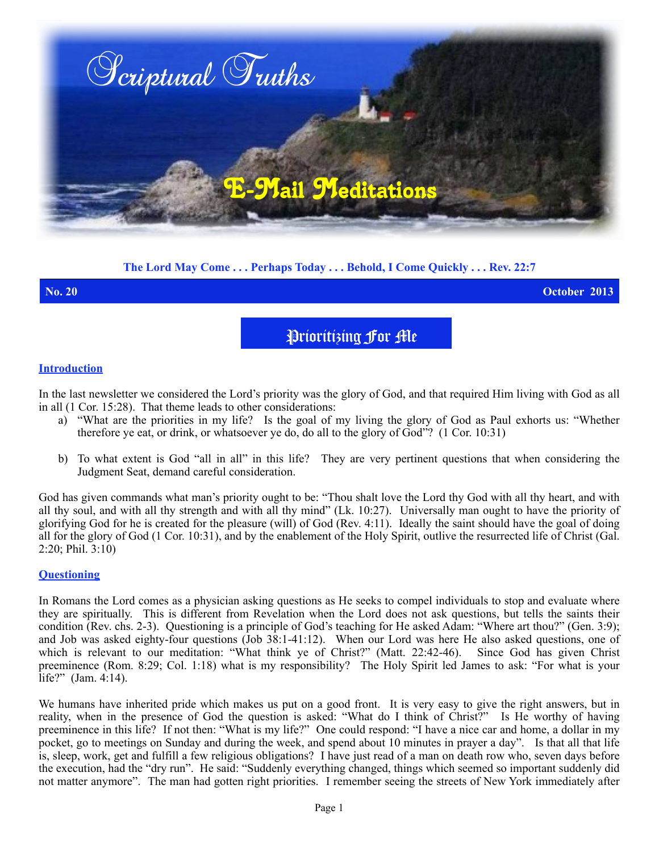

# **The Lord May Come . . . Perhaps Today . . . Behold, I Come Quickly . . . Rev. 22:7**

**No. 20 October 2013**

Prioritizing For Me

#### **Introduction**

In the last newsletter we considered the Lord's priority was the glory of God, and that required Him living with God as all in all (1 Cor. 15:28). That theme leads to other considerations:

- a) "What are the priorities in my life? Is the goal of my living the glory of God as Paul exhorts us: "Whether therefore ye eat, or drink, or whatsoever ye do, do all to the glory of God"? (1 Cor. 10:31)
- b) To what extent is God "all in all" in this life? They are very pertinent questions that when considering the Judgment Seat, demand careful consideration.

God has given commands what man's priority ought to be: "Thou shalt love the Lord thy God with all thy heart, and with all thy soul, and with all thy strength and with all thy mind" (Lk. 10:27). Universally man ought to have the priority of glorifying God for he is created for the pleasure (will) of God (Rev. 4:11). Ideally the saint should have the goal of doing all for the glory of God (1 Cor. 10:31), and by the enablement of the Holy Spirit, outlive the resurrected life of Christ (Gal. 2:20; Phil. 3:10)

#### **Questioning**

In Romans the Lord comes as a physician asking questions as He seeks to compel individuals to stop and evaluate where they are spiritually. This is different from Revelation when the Lord does not ask questions, but tells the saints their condition (Rev. chs. 2-3). Questioning is a principle of God's teaching for He asked Adam: "Where art thou?" (Gen. 3:9); and Job was asked eighty-four questions (Job 38:1-41:12). When our Lord was here He also asked questions, one of which is relevant to our meditation: "What think ye of Christ?" (Matt. 22:42-46). Since God has given Christ preeminence (Rom. 8:29; Col. 1:18) what is my responsibility? The Holy Spirit led James to ask: "For what is your life?" (Jam. 4:14).

We humans have inherited pride which makes us put on a good front. It is very easy to give the right answers, but in reality, when in the presence of God the question is asked: "What do I think of Christ?" Is He worthy of having preeminence in this life? If not then: "What is my life?" One could respond: "I have a nice car and home, a dollar in my pocket, go to meetings on Sunday and during the week, and spend about 10 minutes in prayer a day". Is that all that life is, sleep, work, get and fulfill a few religious obligations? I have just read of a man on death row who, seven days before the execution, had the "dry run". He said: "Suddenly everything changed, things which seemed so important suddenly did not matter anymore". The man had gotten right priorities. I remember seeing the streets of New York immediately after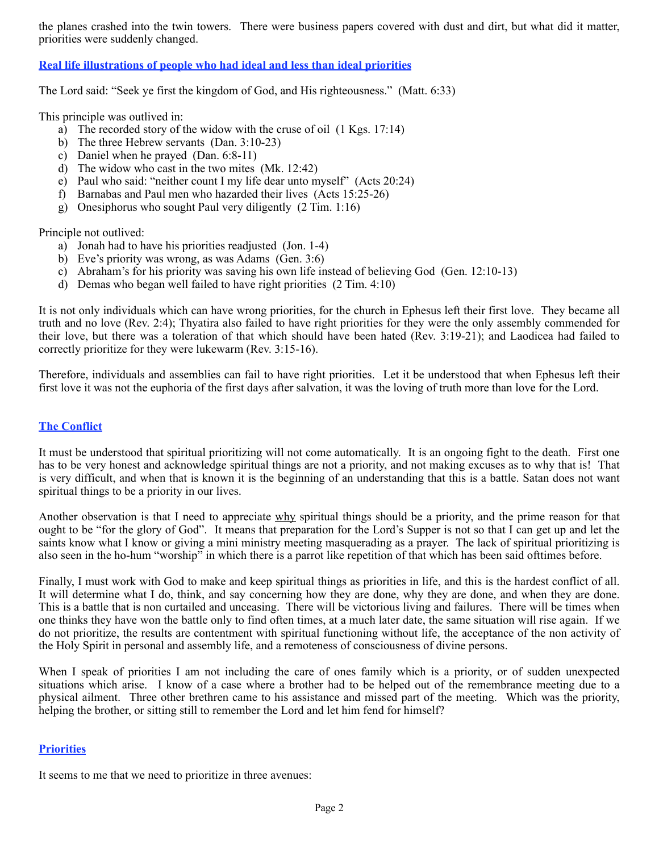the planes crashed into the twin towers. There were business papers covered with dust and dirt, but what did it matter, priorities were suddenly changed.

## **Real life illustrations of people who had ideal and less than ideal priorities**

The Lord said: "Seek ye first the kingdom of God, and His righteousness." (Matt. 6:33)

This principle was outlived in:

- a) The recorded story of the widow with the cruse of oil (1 Kgs. 17:14)
- b) The three Hebrew servants (Dan. 3:10-23)
- c) Daniel when he prayed (Dan. 6:8-11)
- d) The widow who cast in the two mites (Mk. 12:42)
- e) Paul who said: "neither count I my life dear unto myself" (Acts 20:24)
- f) Barnabas and Paul men who hazarded their lives (Acts 15:25-26)
- g) Onesiphorus who sought Paul very diligently (2 Tim. 1:16)

Principle not outlived:

- a) Jonah had to have his priorities readjusted (Jon. 1-4)
- b) Eve's priority was wrong, as was Adams (Gen. 3:6)
- c) Abraham's for his priority was saving his own life instead of believing God (Gen. 12:10-13)
- d) Demas who began well failed to have right priorities (2 Tim. 4:10)

It is not only individuals which can have wrong priorities, for the church in Ephesus left their first love. They became all truth and no love (Rev. 2:4); Thyatira also failed to have right priorities for they were the only assembly commended for their love, but there was a toleration of that which should have been hated (Rev. 3:19-21); and Laodicea had failed to correctly prioritize for they were lukewarm (Rev. 3:15-16).

Therefore, individuals and assemblies can fail to have right priorities. Let it be understood that when Ephesus left their first love it was not the euphoria of the first days after salvation, it was the loving of truth more than love for the Lord.

## **The Conflict**

It must be understood that spiritual prioritizing will not come automatically. It is an ongoing fight to the death. First one has to be very honest and acknowledge spiritual things are not a priority, and not making excuses as to why that is! That is very difficult, and when that is known it is the beginning of an understanding that this is a battle. Satan does not want spiritual things to be a priority in our lives.

Another observation is that I need to appreciate why spiritual things should be a priority, and the prime reason for that ought to be "for the glory of God". It means that preparation for the Lord's Supper is not so that I can get up and let the saints know what I know or giving a mini ministry meeting masquerading as a prayer. The lack of spiritual prioritizing is also seen in the ho-hum "worship" in which there is a parrot like repetition of that which has been said ofttimes before.

Finally, I must work with God to make and keep spiritual things as priorities in life, and this is the hardest conflict of all. It will determine what I do, think, and say concerning how they are done, why they are done, and when they are done. This is a battle that is non curtailed and unceasing. There will be victorious living and failures. There will be times when one thinks they have won the battle only to find often times, at a much later date, the same situation will rise again. If we do not prioritize, the results are contentment with spiritual functioning without life, the acceptance of the non activity of the Holy Spirit in personal and assembly life, and a remoteness of consciousness of divine persons.

When I speak of priorities I am not including the care of ones family which is a priority, or of sudden unexpected situations which arise. I know of a case where a brother had to be helped out of the remembrance meeting due to a physical ailment. Three other brethren came to his assistance and missed part of the meeting. Which was the priority, helping the brother, or sitting still to remember the Lord and let him fend for himself?

#### **Priorities**

It seems to me that we need to prioritize in three avenues: